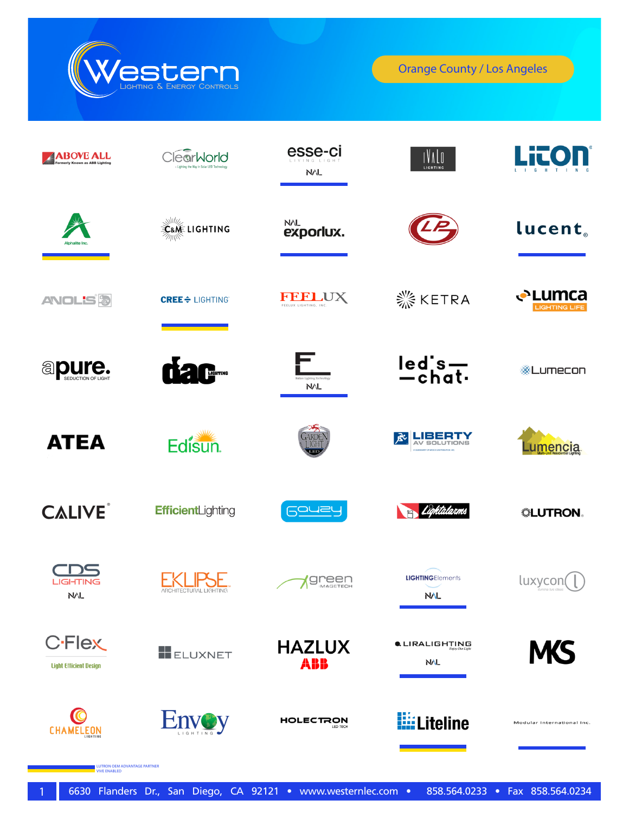

LUTRON OEM ADVANTAGE PARTNER VIVE ENABLED

| <b>ABOVE ALL</b><br>Formerly Known as ABB Lighting | earWorld<br>Lighting the Way in Solar LED Tech | esse-ci<br><b>NVL</b>                   | $IV$ $\Lambda$ $\overline{\mathbb{J}}$<br>LIGHTING |                                |
|----------------------------------------------------|------------------------------------------------|-----------------------------------------|----------------------------------------------------|--------------------------------|
|                                                    | <b>Lane LIGHTING</b>                           | <b>NVL</b><br>exporlux.                 |                                                    | lucent <sub>®</sub>            |
| <b>ANOL'S &amp;</b>                                | <b>CREE</b> $\div$ LIGHTING                    | <b>FREEDIX LIGHTING, INC.</b>           | <b>※ KETRA</b>                                     | <b>←Lumca</b><br>LIGHTING LIFE |
| <b>apure.</b>                                      | <b>CEACERTAGE</b>                              | talian Lighting Technolog<br><b>NVL</b> | led's-                                             | ※Lumecon                       |
| <b>ATEA</b>                                        | Edisun.                                        | <b>IGHT</b>                             | AV SOLUTIONS<br>园                                  | Lu <u>mencia</u>               |
| <b>CALIVE</b>                                      | EfficientLighting                              | Gouey                                   | Lightalarms                                        | <b>. LUTRON</b>                |
| <b>LIGHTING</b><br><b>NVL</b>                      | <b><i>ARCHITECTURAL LIGHTING</i></b>           | <b>PEEN</b>                             | <b>LIGHTINGElements</b><br>NAL                     | luxycor                        |
| <b>C-Flex</b><br><b>Light Efficient Design</b>     | <b>ELUXNET</b>                                 | <b>HAZLUX</b><br>ABB                    | <b>CLIRALIGHTING</b><br><b>NVL</b>                 | <b>MS</b>                      |
|                                                    | <b>Hnvov</b>                                   | HOLECTRON<br>LED TECH                   | <b>Hiller</b> Liteline                             | Modular International Inc.     |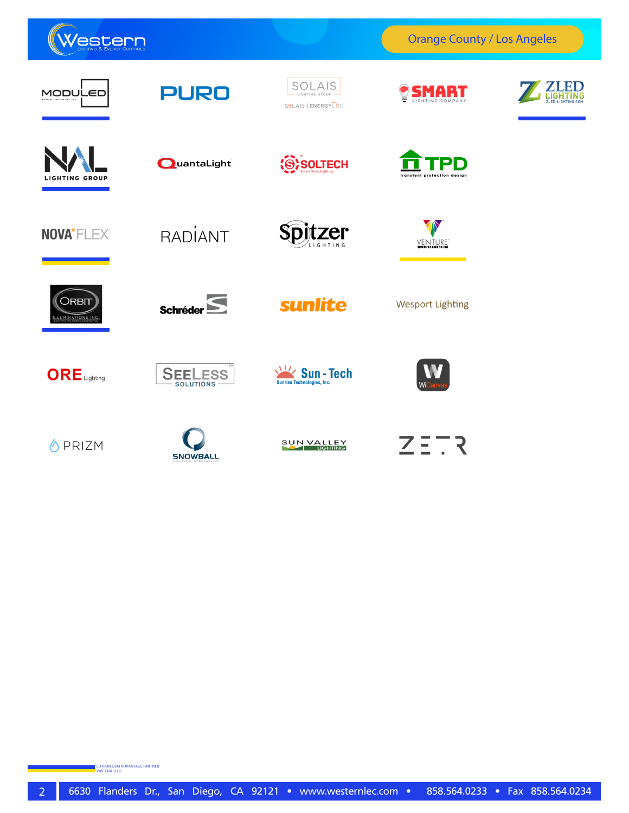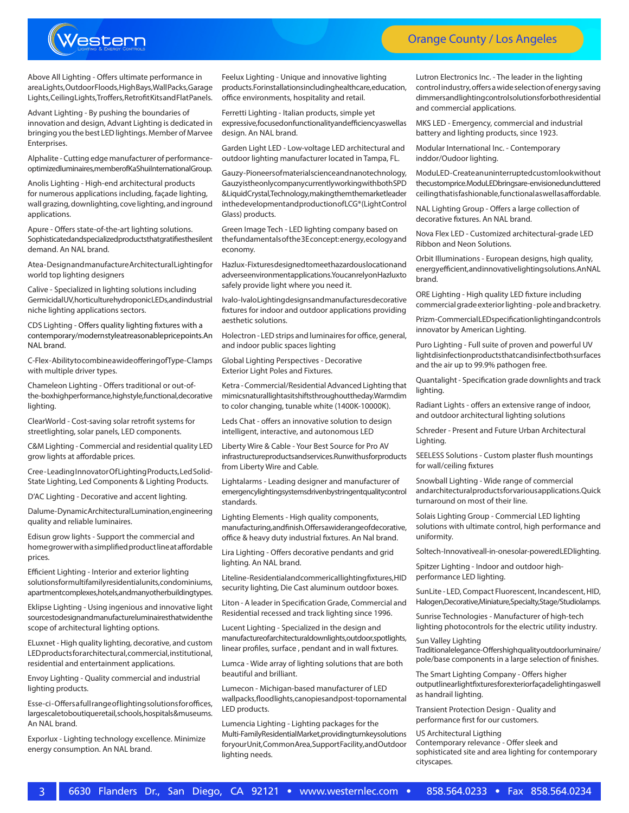

Above All Lighting - Offers ultimate performance in area Lights, Outdoor Floods, High Bays, Wall Packs, Garage Lights, Ceiling Lights, Troffers, Retrofit Kits and Flat Panels.

Advant Lighting - By pushing the boundaries of innovation and design, Advant Lighting is dedicated in bringing you the best LED lightings. Member of Marvee Enterprises.

Alphalite - Cutting edge manufacturer of performanceoptimized luminaires, member of Ka Shui International Group.

Anolis Lighting - High-end architectural products for numerous applications including, façade lighting, wall grazing, downlighting, cove lighting, and inground applications.

Apure - Offers state-of-the-art lighting solutions. Sophisticated and specialized products that gratifies the silent demand. An NAL brand.

Atea - Design and manufacture Architectural Lighting for world top lighting designers

Calive - Specialized in lighting solutions including Germicidal UV, horticulture hydroponic LEDs, and industrial niche lighting applications sectors.

CDS Lighting - Offers quality lighting fixtures with a contemporary/modern style at reasonable price points. An NAL brand.

C-Flex -Ability to combine a wide offering of Type-C lamps with multiple driver types.

Chameleon Lighting - Offers traditional or out-ofthe-box high performance, high style, functional, decorative lighting.

ClearWorld - Cost-saving solar retrofit systems for streetlighting, solar panels, LED components.

C&M Lighting - Commercial and residential quality LED grow lights at affordable prices.

Cree - Leading Innovator Of Lighting Products, Led Solid-State Lighting, Led Components & Lighting Products.

D'AC Lighting - Decorative and accent lighting.

Dalume - Dynamic Architectural Lumination, engineering quality and reliable luminaires.

Edisun grow lights - Support the commercial and home grower with a simplified product line at affordable prices.

Efficient Lighting - Interior and exterior lighting solutions for multifamily residential units, condominiums, apartment complexes, hotels, and many other building types.

Eklipse Lighting - Using ingenious and innovative light sources to design and manufacture luminaires that widen the scope of architectural lighting options.

ELuxnet - High quality lighting, decorative, and custom LED products for architectural, commercial, institutional, residential and entertainment applications.

Envoy Lighting - Quality commercial and industrial lighting products.

Esse-ci - Offers a full range of lighting solutions for offices, largescale to boutique retail, schools, hospitals & museums. An NAL brand.

Exporlux - Lighting technology excellence. Minimize energy consumption. An NAL brand.

Feelux Lighting - Unique and innovative lighting products. For installations including healthcare, education, office environments, hospitality and retail.

Ferretti Lighting - Italian products, simple yet expressive, focused on functionality and efficiency as well as design. An NAL brand.

Garden Light LED - Low-voltage LED architectural and outdoor lighting manufacturer located in Tampa, FL.

Gauzy - Pioneers of material science and nanotechnology, Gauzy is the only company currently working with both SPD & Liquid Crystal, Technology, making them the market leader in the development and production of LCG® (Light Control Glass) products.

Green Image Tech - LED lighting company based on the fundamentals of the 3E concept: energy, ecology and economy.

Hazlux - Fixtures designed to meet hazardous location and adverse environment applications. You can rely on Hazlux to safely provide light where you need it.

Ivalo - Ivalo Lighting designs and manufactures decorative fixtures for indoor and outdoor applications providing aesthetic solutions.

Holectron - LED strips and luminaires for office, general, and indoor public spaces lighting

Global Lighting Perspectives - Decorative Exterior Light Poles and Fixtures.

Ketra - Commercial/Residential Advanced Lighting that mimics natural light as it shifts throughout the day. Warm dim to color changing, tunable white (1400K-10000K).

Leds Chat - offers an innovative solution to design intelligent, interactive, and autonomous LED

Liberty Wire & Cable - Your Best Source for Pro AV infrastructure products and services. Run with us for products from Liberty Wire and Cable.

Lightalarms - Leading designer and manufacturer of emergency lighting systems driven by stringent quality control standards.

Lighting Elements - High quality components, manufacturing, and finish. Offers a wide range of decorative, office & heavy duty industrial fixtures. An Nal brand.

Lira Lighting - Offers decorative pendants and grid lighting. An NAL brand.

Liteline - Residential and commerical lighting fixtures, HID security lighting, Die Cast aluminum outdoor boxes.

Liton - A leader in Specification Grade, Commercial and Residential recessed and track lighting since 1996.

Lucent Lighting - Specialized in the design and manufacture of architectural downlights, outdoor, spotlights, linear profiles, surface , pendant and in wall fixtures.

Lumca - Wide array of lighting solutions that are both beautiful and brilliant.

Lumecon - Michigan-based manufacturer of LED wallpacks, flood lights, canopies and post-top ornamental LED products.

Lumencia Lighting - Lighting packages for the Multi-Family Residential Market, providing turnkey solutions for your Unit, Common Area, Support Facility, and Outdoor lighting needs.

Lutron Electronics Inc. - The leader in the lighting control industry, offers a wide selection of energy saving dimmers and lighting control solutions for both residential and commercial applications.

MKS LED - Emergency, commercial and industrial battery and lighting products, since 1923.

Modular International Inc. - Contemporary inddor/Oudoor lighting.

ModuLED-Create an uninterrupted custom look without the custom price. ModuLED brings are-envisioned uncluttered ceiling that is fashionable, functional as well as affordable.

NAL Lighting Group - Offers a large collection of decorative fixtures. An NAL brand.

Nova Flex LED - Customized architectural-grade LED Ribbon and Neon Solutions.

Orbit Illuminations - European designs, high quality, energy efficient, and innovative lighting solutions. An NAL brand.

ORE Lighting - High quality LED fixture including commercial grade exterior lighting - pole and bracketry.

Prizm - Commercial LED specification lighting and controls innovator by American Lighting.

Puro Lighting - Full suite of proven and powerful UV light disinfection products that can disinfect both surfaces and the air up to 99.9% pathogen free.

Quantalight - Specification grade downlights and track lighting.

Radiant Lights - offers an extensive range of indoor, and outdoor architectural lighting solutions

Schreder - Present and Future Urban Architectural Lighting.

SEELESS Solutions - Custom plaster flush mountings for wall/ceiling fixtures

Snowball Lighting - Wide range of commercial and architectural products for various applications. Quick turnaround on most of their line.

Solais Lighting Group - Commercial LED lighting solutions with ultimate control, high performance and uniformity.

Soltech-Innovativeall-in-onesolar-powered LED lighting.

Spitzer Lighting - Indoor and outdoor highperformance LED lighting.

SunLite - LED, Compact Fluorescent, Incandescent, HID, Halogen, Decorative, Miniature, Specialty, Stage/Studiolamps.

Sunrise Technologies - Manufacturer of high-tech lighting photocontrols for the electric utility industry.

Sun Valley Lighting Traditional elegance-Offershigh quality outdoor luminaire/ pole/base components in a large selection of finishes.

The Smart Lighting Company - Offers higher output linear light fixtures for exterior façade lighting as well as handrail lighting.

Transient Protection Design - Quality and performance first for our customers.

US Architectural Ligthing Contemporary relevance - Offer sleek and sophisticated site and area lighting for contemporary cityscapes.